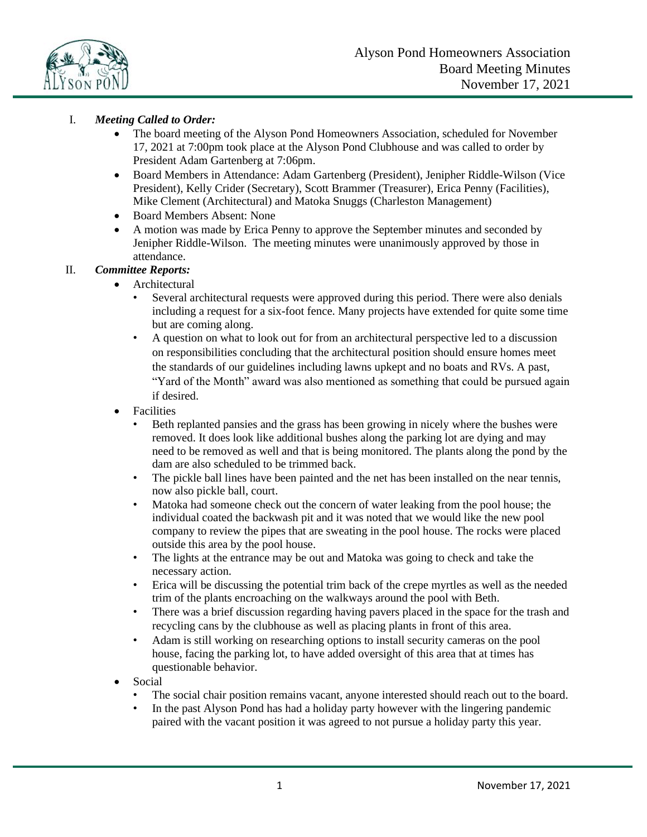

# I. *Meeting Called to Order:*

- The board meeting of the Alyson Pond Homeowners Association, scheduled for November 17, 2021 at 7:00pm took place at the Alyson Pond Clubhouse and was called to order by President Adam Gartenberg at 7:06pm.
- Board Members in Attendance: Adam Gartenberg (President), Jenipher Riddle-Wilson (Vice President), Kelly Crider (Secretary), Scott Brammer (Treasurer), Erica Penny (Facilities), Mike Clement (Architectural) and Matoka Snuggs (Charleston Management)
- Board Members Absent: None
- A motion was made by Erica Penny to approve the September minutes and seconded by Jenipher Riddle-Wilson. The meeting minutes were unanimously approved by those in attendance.

## II. *Committee Reports:*

- **Architectural** 
	- Several architectural requests were approved during this period. There were also denials including a request for a six-foot fence. Many projects have extended for quite some time but are coming along.
	- A question on what to look out for from an architectural perspective led to a discussion on responsibilities concluding that the architectural position should ensure homes meet the standards of our guidelines including lawns upkept and no boats and RVs. A past, "Yard of the Month" award was also mentioned as something that could be pursued again if desired.
- Facilities
	- Beth replanted pansies and the grass has been growing in nicely where the bushes were removed. It does look like additional bushes along the parking lot are dying and may need to be removed as well and that is being monitored. The plants along the pond by the dam are also scheduled to be trimmed back.
	- The pickle ball lines have been painted and the net has been installed on the near tennis, now also pickle ball, court.
	- Matoka had someone check out the concern of water leaking from the pool house; the individual coated the backwash pit and it was noted that we would like the new pool company to review the pipes that are sweating in the pool house. The rocks were placed outside this area by the pool house.
	- The lights at the entrance may be out and Matoka was going to check and take the necessary action.
	- Erica will be discussing the potential trim back of the crepe myrtles as well as the needed trim of the plants encroaching on the walkways around the pool with Beth.
	- There was a brief discussion regarding having pavers placed in the space for the trash and recycling cans by the clubhouse as well as placing plants in front of this area.
	- Adam is still working on researching options to install security cameras on the pool house, facing the parking lot, to have added oversight of this area that at times has questionable behavior.
- Social
	- The social chair position remains vacant, anyone interested should reach out to the board.
	- In the past Alyson Pond has had a holiday party however with the lingering pandemic paired with the vacant position it was agreed to not pursue a holiday party this year.